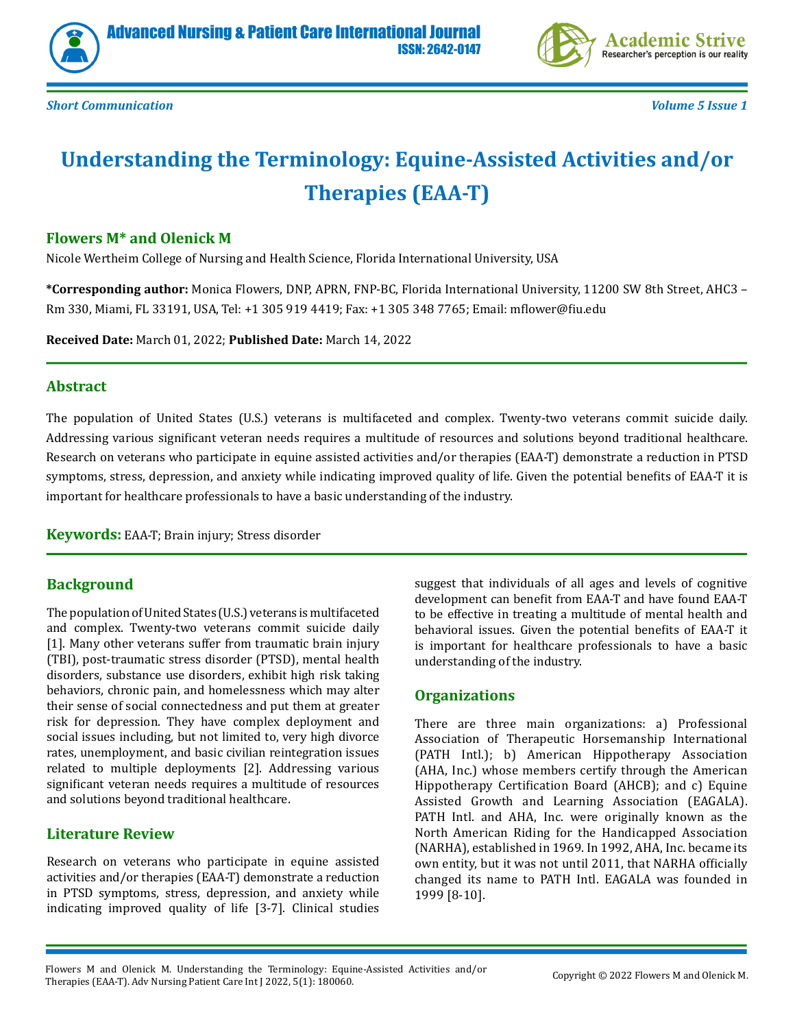



*Short Communication Volume 5 Issue 1*

# **Understanding the Terminology: Equine-Assisted Activities and/or Therapies (EAA-T)**

#### **Flowers M\* and Olenick M**

Nicole Wertheim College of Nursing and Health Science, Florida International University, USA

**\*Corresponding author:** Monica Flowers, DNP, APRN, FNP-BC, Florida International University, 11200 SW 8th Street, AHC3 – Rm 330, Miami, FL 33191, USA, Tel: +1 305 919 4419; Fax: +1 305 348 7765; Email: mflower@fiu.edu

**Received Date:** March 01, 2022; **Published Date:** March 14, 2022

#### **Abstract**

The population of United States (U.S.) veterans is multifaceted and complex. Twenty-two veterans commit suicide daily. Addressing various significant veteran needs requires a multitude of resources and solutions beyond traditional healthcare. Research on veterans who participate in equine assisted activities and/or therapies (EAA-T) demonstrate a reduction in PTSD symptoms, stress, depression, and anxiety while indicating improved quality of life. Given the potential benefits of EAA-T it is important for healthcare professionals to have a basic understanding of the industry.

**Keywords:** EAA-T; Brain injury; Stress disorder

#### **Background**

The population of United States (U.S.) veterans is multifaceted and complex. Twenty-two veterans commit suicide daily [1]. Many other veterans suffer from traumatic brain injury (TBI), post-traumatic stress disorder (PTSD), mental health disorders, substance use disorders, exhibit high risk taking behaviors, chronic pain, and homelessness which may alter their sense of social connectedness and put them at greater risk for depression. They have complex deployment and social issues including, but not limited to, very high divorce rates, unemployment, and basic civilian reintegration issues related to multiple deployments [2]. Addressing various significant veteran needs requires a multitude of resources and solutions beyond traditional healthcare.

#### **Literature Review**

Research on veterans who participate in equine assisted activities and/or therapies (EAA-T) demonstrate a reduction in PTSD symptoms, stress, depression, and anxiety while indicating improved quality of life [3-7]. Clinical studies

suggest that individuals of all ages and levels of cognitive development can benefit from EAA-T and have found EAA-T to be effective in treating a multitude of mental health and behavioral issues. Given the potential benefits of EAA-T it is important for healthcare professionals to have a basic understanding of the industry.

#### **Organizations**

There are three main organizations: a) Professional Association of Therapeutic Horsemanship International (PATH Intl.); b) American Hippotherapy Association (AHA, Inc.) whose members certify through the American Hippotherapy Certification Board (AHCB); and c) Equine Assisted Growth and Learning Association (EAGALA). PATH Intl. and AHA, Inc. were originally known as the North American Riding for the Handicapped Association (NARHA), established in 1969. In 1992, AHA, Inc. became its own entity, but it was not until 2011, that NARHA officially changed its name to PATH Intl. EAGALA was founded in 1999 [8-10].

Flowers M and Olenick M. Understanding the Terminology: Equine-Assisted Activities and/or Therapies (EAA-T). Adv Nursing Patient Care Int J 2022, 5(1): 180060. Copyright © 2022 Flowers M and Olenick M.<br>Therapies (EAA-T). Adv Nursing Patient Care Int J 2022, 5(1): 180060.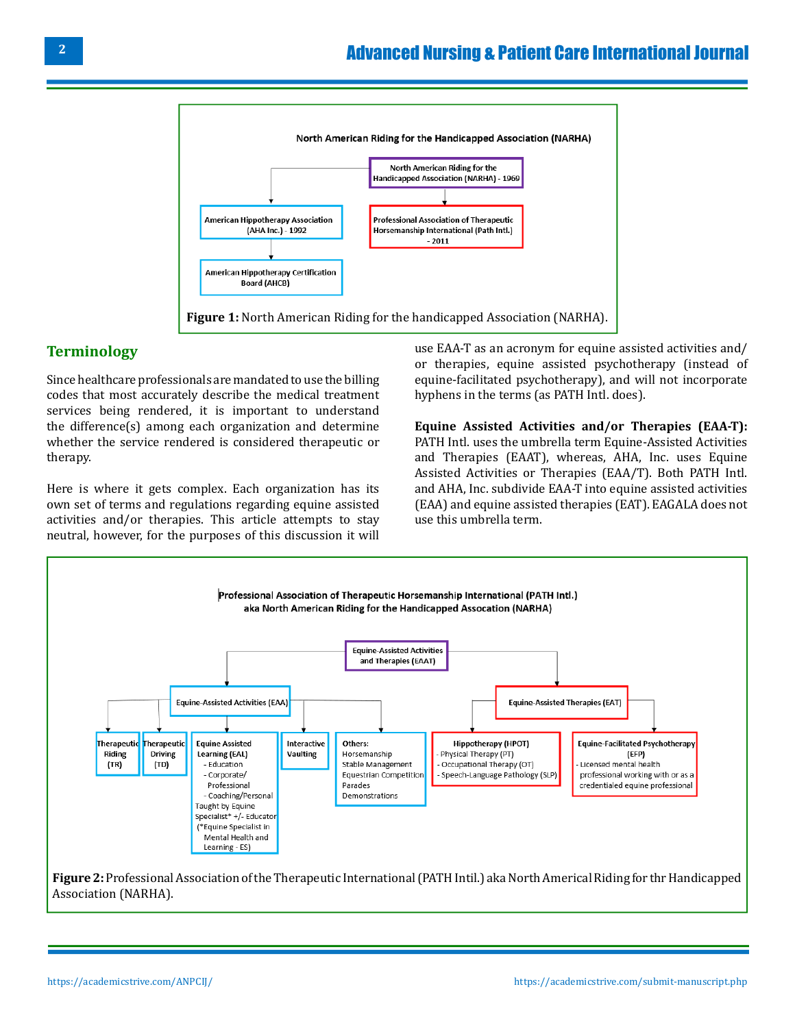

#### **Terminology**

Since healthcare professionals are mandated to use the billing codes that most accurately describe the medical treatment services being rendered, it is important to understand the difference(s) among each organization and determine whether the service rendered is considered therapeutic or therapy.

Here is where it gets complex. Each organization has its own set of terms and regulations regarding equine assisted activities and/or therapies. This article attempts to stay neutral, however, for the purposes of this discussion it will use EAA-T as an acronym for equine assisted activities and/ or therapies, equine assisted psychotherapy (instead of equine-facilitated psychotherapy), and will not incorporate hyphens in the terms (as PATH Intl. does).

**Equine Assisted Activities and/or Therapies (EAA-T):**  PATH Intl. uses the umbrella term Equine-Assisted Activities and Therapies (EAAT), whereas, AHA, Inc. uses Equine Assisted Activities or Therapies (EAA/T). Both PATH Intl. and AHA, Inc. subdivide EAA-T into equine assisted activities (EAA) and equine assisted therapies (EAT). EAGALA does not use this umbrella term.



Association (NARHA).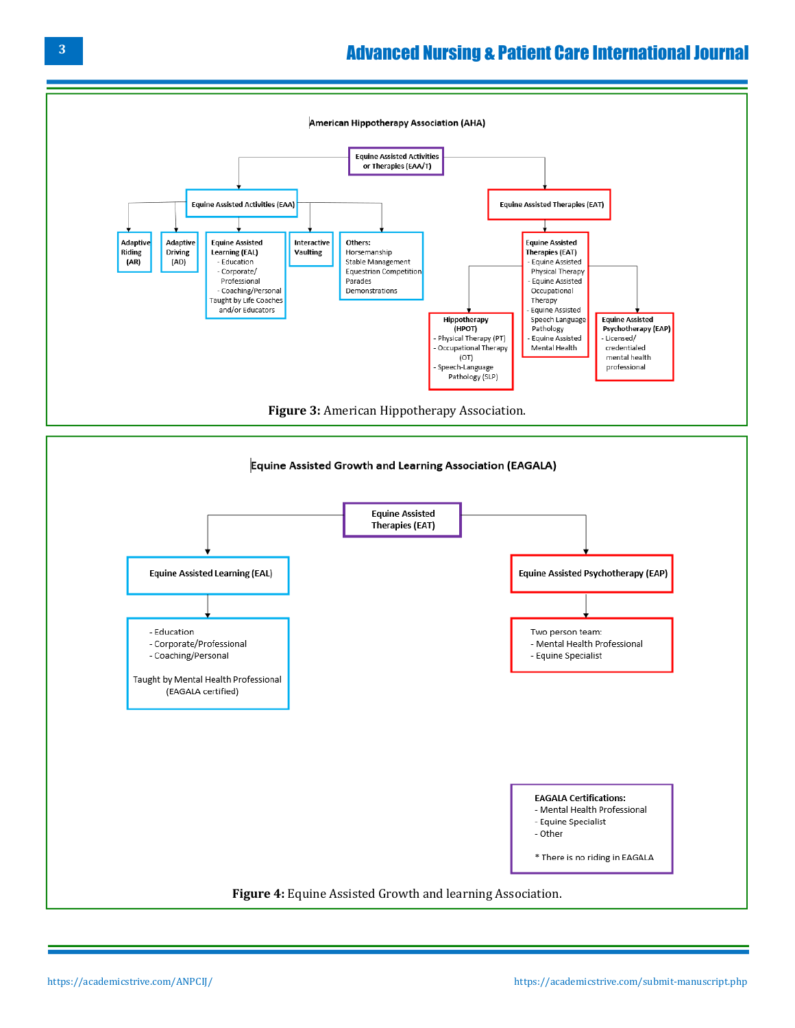

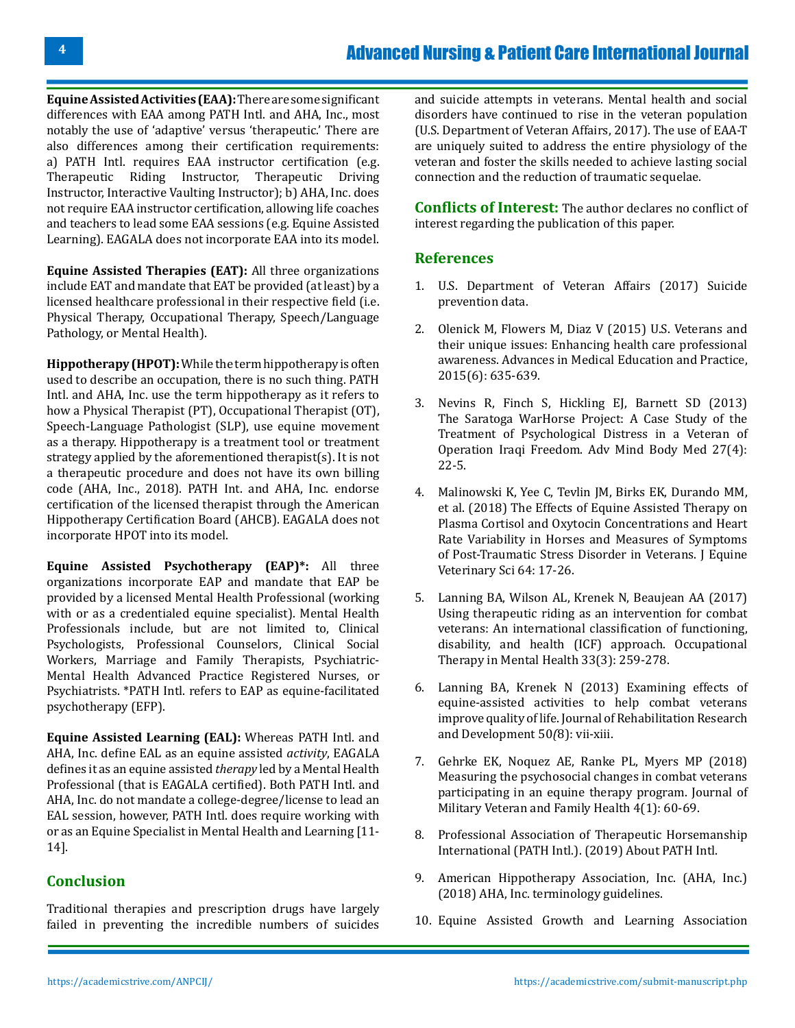**Equine Assisted Activities (EAA):** There are some significant differences with EAA among PATH Intl. and AHA, Inc., most notably the use of 'adaptive' versus 'therapeutic.' There are also differences among their certification requirements: a) PATH Intl. requires EAA instructor certification (e.g. Therapeutic Riding Instructor, Therapeutic Driving Instructor, Interactive Vaulting Instructor); b) AHA, Inc. does not require EAA instructor certification, allowing life coaches and teachers to lead some EAA sessions (e.g. Equine Assisted Learning). EAGALA does not incorporate EAA into its model.

**Equine Assisted Therapies (EAT):** All three organizations include EAT and mandate that EAT be provided (at least) by a licensed healthcare professional in their respective field (i.e. Physical Therapy, Occupational Therapy, Speech/Language Pathology, or Mental Health).

**Hippotherapy (HPOT):** While the term hippotherapy is often used to describe an occupation, there is no such thing. PATH Intl. and AHA, Inc. use the term hippotherapy as it refers to how a Physical Therapist (PT), Occupational Therapist (OT), Speech-Language Pathologist (SLP), use equine movement as a therapy. Hippotherapy is a treatment tool or treatment strategy applied by the aforementioned therapist(s). It is not a therapeutic procedure and does not have its own billing code (AHA, Inc., 2018). PATH Int. and AHA, Inc. endorse certification of the licensed therapist through the American Hippotherapy Certification Board (AHCB). EAGALA does not incorporate HPOT into its model.

**Equine Assisted Psychotherapy (EAP)\*:** All three organizations incorporate EAP and mandate that EAP be provided by a licensed Mental Health Professional (working with or as a credentialed equine specialist). Mental Health Professionals include, but are not limited to, Clinical Psychologists, Professional Counselors, Clinical Social Workers, Marriage and Family Therapists, Psychiatric-Mental Health Advanced Practice Registered Nurses, or Psychiatrists. \*PATH Intl. refers to EAP as equine-facilitated psychotherapy (EFP).

**Equine Assisted Learning (EAL):** Whereas PATH Intl. and AHA, Inc. define EAL as an equine assisted *activity*, EAGALA defines it as an equine assisted *therapy* led by a Mental Health Professional (that is EAGALA certified). Both PATH Intl. and AHA, Inc. do not mandate a college-degree/license to lead an EAL session, however, PATH Intl. does require working with or as an Equine Specialist in Mental Health and Learning [11- 14].

### **Conclusion**

Traditional therapies and prescription drugs have largely failed in preventing the incredible numbers of suicides

and suicide attempts in veterans. Mental health and social disorders have continued to rise in the veteran population (U.S. Department of Veteran Affairs, 2017). The use of EAA-T are uniquely suited to address the entire physiology of the veteran and foster the skills needed to achieve lasting social connection and the reduction of traumatic sequelae.

**Conflicts of Interest:** The author declares no conflict of interest regarding the publication of this paper.

#### **References**

- 1. [U.S. Department of Veteran Affairs \(2017\) Suicide](https://www.mentalhealth.va.gov/suicide_prevention/data.asp) [prevention data.](https://www.mentalhealth.va.gov/suicide_prevention/data.asp)
- 2. [Olenick M, Flowers M, Diaz V \(2015\) U.S. Veterans and](https://pubmed.ncbi.nlm.nih.gov/26664252/)  [their unique issues: Enhancing health care professional](https://pubmed.ncbi.nlm.nih.gov/26664252/) [awareness. Advances in Medical Education and Practice,](https://pubmed.ncbi.nlm.nih.gov/26664252/)  [2015\(6\): 635-639.](https://pubmed.ncbi.nlm.nih.gov/26664252/)
- 3. [Nevins R, Finch S, Hickling EJ, Barnett SD \(2013\)](https://pubmed.ncbi.nlm.nih.gov/24067322/) [The Saratoga WarHorse Project: A Case Study of the](https://pubmed.ncbi.nlm.nih.gov/24067322/) [Treatment of Psychological Distress in a Veteran of](https://pubmed.ncbi.nlm.nih.gov/24067322/) [Operation Iraqi Freedom. Adv Mind Body Med 27\(4\):](https://pubmed.ncbi.nlm.nih.gov/24067322/) [22-5.](https://pubmed.ncbi.nlm.nih.gov/24067322/)
- 4. [Malinowski K, Yee C, Tevlin JM, Birks EK, Durando MM,](https://pubmed.ncbi.nlm.nih.gov/30973147/)  [et al. \(2018\) The Effects of Equine Assisted Therapy on](https://pubmed.ncbi.nlm.nih.gov/30973147/) [Plasma Cortisol and Oxytocin Concentrations and Heart](https://pubmed.ncbi.nlm.nih.gov/30973147/)  [Rate Variability in Horses and Measures of Symptoms](https://pubmed.ncbi.nlm.nih.gov/30973147/)  [of Post-Traumatic Stress Disorder in Veterans. J Equine](https://pubmed.ncbi.nlm.nih.gov/30973147/) [Veterinary Sci 64: 17-26.](https://pubmed.ncbi.nlm.nih.gov/30973147/)
- 5. [Lanning BA, Wilson AL, Krenek N, Beaujean AA \(2017\)](https://www.tandfonline.com/doi/abs/10.1080/0164212X.2017.1283282) [Using therapeutic riding as an intervention for combat](https://www.tandfonline.com/doi/abs/10.1080/0164212X.2017.1283282)  [veterans: An international classification of functioning,](https://www.tandfonline.com/doi/abs/10.1080/0164212X.2017.1283282)  [disability, and health \(ICF\) approach. Occupational](https://www.tandfonline.com/doi/abs/10.1080/0164212X.2017.1283282)  [Therapy in Mental Health 33\(3\): 259-278.](https://www.tandfonline.com/doi/abs/10.1080/0164212X.2017.1283282)
- 6. [Lanning BA, Krenek N \(2013\) Examining effects of](https://pubmed.ncbi.nlm.nih.gov/24458903/) [equine-assisted activities to help combat veterans](https://pubmed.ncbi.nlm.nih.gov/24458903/) [improve quality of life. Journal of Rehabilitation Research](https://pubmed.ncbi.nlm.nih.gov/24458903/) [and Development 50](https://pubmed.ncbi.nlm.nih.gov/24458903/)*(*8): vii-xiii.
- 7. [Gehrke EK, Noquez AE, Ranke PL, Myers MP \(2018\)](https://jmvfh.utpjournals.press/doi/full/10.3138/jmvfh.2017-0015) [Measuring the psychosocial changes in combat veterans](https://jmvfh.utpjournals.press/doi/full/10.3138/jmvfh.2017-0015)  [participating in an equine therapy program. Journal of](https://jmvfh.utpjournals.press/doi/full/10.3138/jmvfh.2017-0015) [Military Veteran and Family Health 4\(1\): 60-69.](https://jmvfh.utpjournals.press/doi/full/10.3138/jmvfh.2017-0015)
- 8. [Professional Association of Therapeutic Horsemanship](https://pathintl.org/) [International \(PATH Intl.\). \(2019\) About PATH Intl.](https://pathintl.org/)
- 9. [American Hippotherapy Association, Inc. \(AHA, Inc.\)](https://hippotherapycertification.org/) [\(2018\) AHA, Inc. terminology guidelines.](https://hippotherapycertification.org/)
- 10. [Equine Assisted Growth and Learning Association](https://www.eagala.org/index)